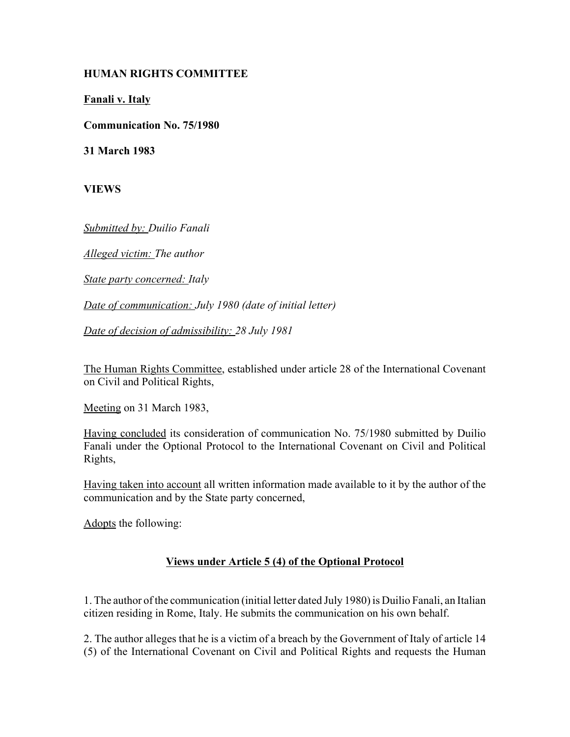## **HUMAN RIGHTS COMMITTEE**

**Fanali v. Italy**

**Communication No. 75/1980**

**31 March 1983**

**VIEWS**

*Submitted by: Duilio Fanali* 

*Alleged victim: The author* 

*State party concerned: Italy* 

*Date of communication: July 1980 (date of initial letter)* 

*Date of decision of admissibility: 28 July 1981* 

The Human Rights Committee, established under article 28 of the International Covenant on Civil and Political Rights,

Meeting on 31 March 1983,

Having concluded its consideration of communication No. 75/1980 submitted by Duilio Fanali under the Optional Protocol to the International Covenant on Civil and Political Rights,

Having taken into account all written information made available to it by the author of the communication and by the State party concerned,

Adopts the following:

## **Views under Article 5 (4) of the Optional Protocol**

1. The author of the communication (initial letter dated July 1980) is Duilio Fanali, an Italian citizen residing in Rome, Italy. He submits the communication on his own behalf.

2. The author alleges that he is a victim of a breach by the Government of Italy of article 14 (5) of the International Covenant on Civil and Political Rights and requests the Human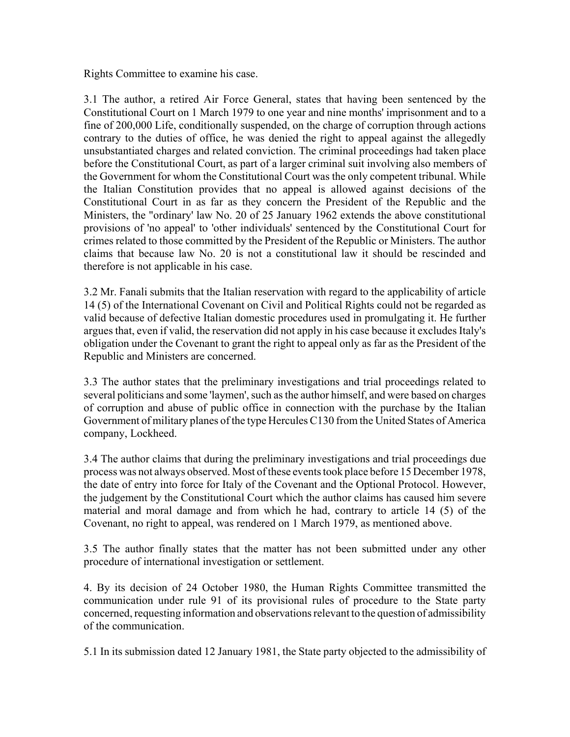Rights Committee to examine his case.

3.1 The author, a retired Air Force General, states that having been sentenced by the Constitutional Court on 1 March 1979 to one year and nine months' imprisonment and to a fine of 200,000 Life, conditionally suspended, on the charge of corruption through actions contrary to the duties of office, he was denied the right to appeal against the allegedly unsubstantiated charges and related conviction. The criminal proceedings had taken place before the Constitutional Court, as part of a larger criminal suit involving also members of the Government for whom the Constitutional Court was the only competent tribunal. While the Italian Constitution provides that no appeal is allowed against decisions of the Constitutional Court in as far as they concern the President of the Republic and the Ministers, the "ordinary' law No. 20 of 25 January 1962 extends the above constitutional provisions of 'no appeal' to 'other individuals' sentenced by the Constitutional Court for crimes related to those committed by the President of the Republic or Ministers. The author claims that because law No. 20 is not a constitutional law it should be rescinded and therefore is not applicable in his case.

3.2 Mr. Fanali submits that the Italian reservation with regard to the applicability of article 14 (5) of the International Covenant on Civil and Political Rights could not be regarded as valid because of defective Italian domestic procedures used in promulgating it. He further argues that, even if valid, the reservation did not apply in his case because it excludes Italy's obligation under the Covenant to grant the right to appeal only as far as the President of the Republic and Ministers are concerned.

3.3 The author states that the preliminary investigations and trial proceedings related to several politicians and some 'laymen', such as the author himself, and were based on charges of corruption and abuse of public office in connection with the purchase by the Italian Government of military planes of the type Hercules C130 from the United States of America company, Lockheed.

3.4 The author claims that during the preliminary investigations and trial proceedings due process was not always observed. Most of these events took place before 15 December 1978, the date of entry into force for Italy of the Covenant and the Optional Protocol. However, the judgement by the Constitutional Court which the author claims has caused him severe material and moral damage and from which he had, contrary to article 14 (5) of the Covenant, no right to appeal, was rendered on 1 March 1979, as mentioned above.

3.5 The author finally states that the matter has not been submitted under any other procedure of international investigation or settlement.

4. By its decision of 24 October 1980, the Human Rights Committee transmitted the communication under rule 91 of its provisional rules of procedure to the State party concerned, requesting information and observations relevant to the question of admissibility of the communication.

5.1 In its submission dated 12 January 1981, the State party objected to the admissibility of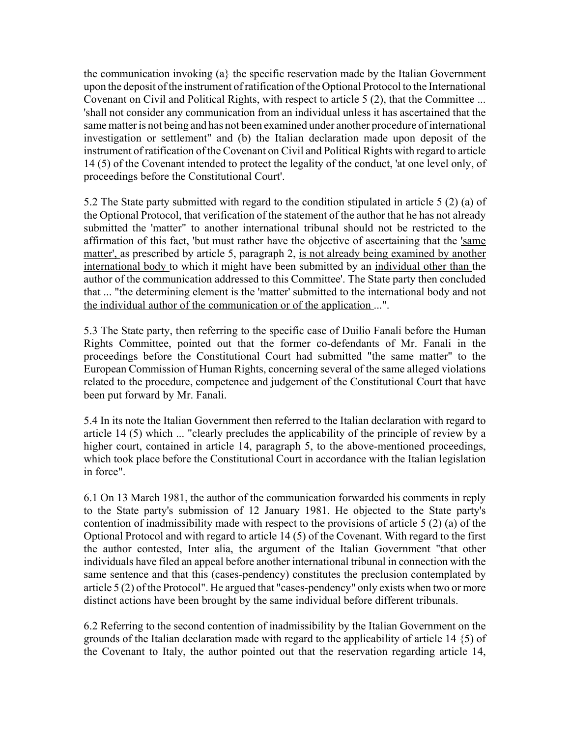the communication invoking  $(a)$  the specific reservation made by the Italian Government upon the deposit of the instrument of ratification of the Optional Protocol to the International Covenant on Civil and Political Rights, with respect to article 5 (2), that the Committee ... 'shall not consider any communication from an individual unless it has ascertained that the same matter is not being and has not been examined under another procedure of international investigation or settlement" and (b) the Italian declaration made upon deposit of the instrument of ratification of the Covenant on Civil and Political Rights with regard to article 14 (5) of the Covenant intended to protect the legality of the conduct, 'at one level only, of proceedings before the Constitutional Court'.

5.2 The State party submitted with regard to the condition stipulated in article 5 (2) (a) of the Optional Protocol, that verification of the statement of the author that he has not already submitted the 'matter" to another international tribunal should not be restricted to the affirmation of this fact, 'but must rather have the objective of ascertaining that the 'same matter', as prescribed by article 5, paragraph 2, is not already being examined by another international body to which it might have been submitted by an individual other than the author of the communication addressed to this Committee'. The State party then concluded that ... "the determining element is the 'matter' submitted to the international body and not the individual author of the communication or of the application ...".

5.3 The State party, then referring to the specific case of Duilio Fanali before the Human Rights Committee, pointed out that the former co-defendants of Mr. Fanali in the proceedings before the Constitutional Court had submitted "the same matter" to the European Commission of Human Rights, concerning several of the same alleged violations related to the procedure, competence and judgement of the Constitutional Court that have been put forward by Mr. Fanali.

5.4 In its note the Italian Government then referred to the Italian declaration with regard to article 14 (5) which ... "clearly precludes the applicability of the principle of review by a higher court, contained in article 14, paragraph 5, to the above-mentioned proceedings, which took place before the Constitutional Court in accordance with the Italian legislation in force".

6.1 On 13 March 1981, the author of the communication forwarded his comments in reply to the State party's submission of 12 January 1981. He objected to the State party's contention of inadmissibility made with respect to the provisions of article 5 (2) (a) of the Optional Protocol and with regard to article 14 (5) of the Covenant. With regard to the first the author contested, Inter alia, the argument of the Italian Government "that other individuals have filed an appeal before another international tribunal in connection with the same sentence and that this (cases-pendency) constitutes the preclusion contemplated by article 5 (2) of the Protocol". He argued that "cases-pendency" only exists when two or more distinct actions have been brought by the same individual before different tribunals.

6.2 Referring to the second contention of inadmissibility by the Italian Government on the grounds of the Italian declaration made with regard to the applicability of article 14 {5) of the Covenant to Italy, the author pointed out that the reservation regarding article 14,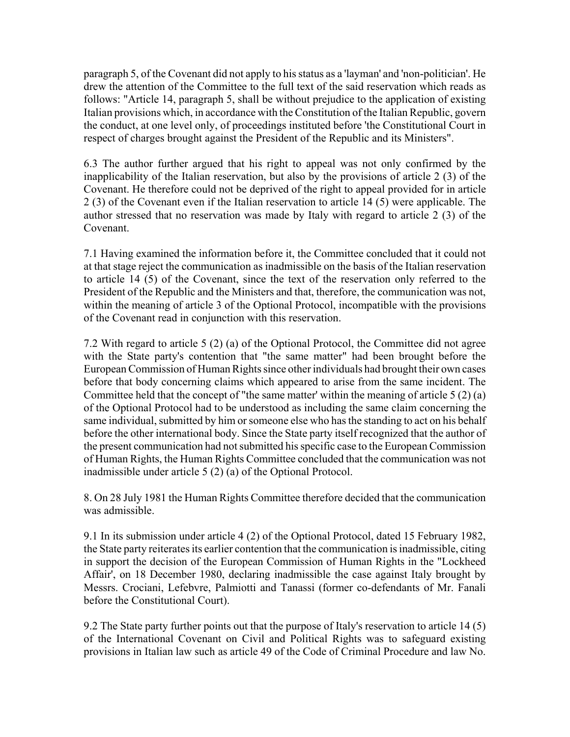paragraph 5, of the Covenant did not apply to his status as a 'layman' and 'non-politician'. He drew the attention of the Committee to the full text of the said reservation which reads as follows: "Article 14, paragraph 5, shall be without prejudice to the application of existing Italian provisions which, in accordance with the Constitution of the Italian Republic, govern the conduct, at one level only, of proceedings instituted before 'the Constitutional Court in respect of charges brought against the President of the Republic and its Ministers".

6.3 The author further argued that his right to appeal was not only confirmed by the inapplicability of the Italian reservation, but also by the provisions of article 2 (3) of the Covenant. He therefore could not be deprived of the right to appeal provided for in article 2 (3) of the Covenant even if the Italian reservation to article 14 (5) were applicable. The author stressed that no reservation was made by Italy with regard to article 2 (3) of the Covenant.

7.1 Having examined the information before it, the Committee concluded that it could not at that stage reject the communication as inadmissible on the basis of the Italian reservation to article 14 (5) of the Covenant, since the text of the reservation only referred to the President of the Republic and the Ministers and that, therefore, the communication was not, within the meaning of article 3 of the Optional Protocol, incompatible with the provisions of the Covenant read in conjunction with this reservation.

7.2 With regard to article 5 (2) (a) of the Optional Protocol, the Committee did not agree with the State party's contention that "the same matter" had been brought before the European Commission of Human Rights since other individuals had brought their own cases before that body concerning claims which appeared to arise from the same incident. The Committee held that the concept of "the same matter' within the meaning of article 5 (2) (a) of the Optional Protocol had to be understood as including the same claim concerning the same individual, submitted by him or someone else who has the standing to act on his behalf before the other international body. Since the State party itself recognized that the author of the present communication had not submitted his specific case to the European Commission of Human Rights, the Human Rights Committee concluded that the communication was not inadmissible under article 5 (2) (a) of the Optional Protocol.

8. On 28 July 1981 the Human Rights Committee therefore decided that the communication was admissible.

9.1 In its submission under article 4 (2) of the Optional Protocol, dated 15 February 1982, the State party reiterates its earlier contention that the communication is inadmissible, citing in support the decision of the European Commission of Human Rights in the "Lockheed Affair', on 18 December 1980, declaring inadmissible the case against Italy brought by Messrs. Crociani, Lefebvre, Palmiotti and Tanassi (former co-defendants of Mr. Fanali before the Constitutional Court).

9.2 The State party further points out that the purpose of Italy's reservation to article 14 (5) of the International Covenant on Civil and Political Rights was to safeguard existing provisions in Italian law such as article 49 of the Code of Criminal Procedure and law No.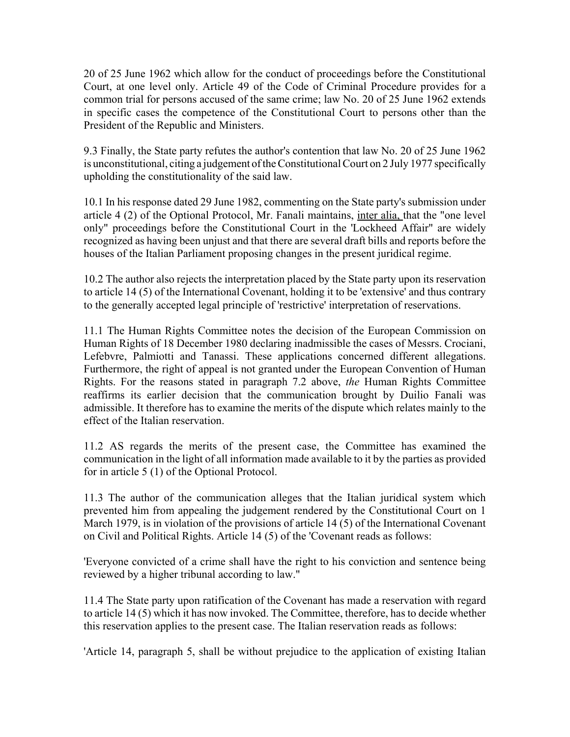20 of 25 June 1962 which allow for the conduct of proceedings before the Constitutional Court, at one level only. Article 49 of the Code of Criminal Procedure provides for a common trial for persons accused of the same crime; law No. 20 of 25 June 1962 extends in specific cases the competence of the Constitutional Court to persons other than the President of the Republic and Ministers.

9.3 Finally, the State party refutes the author's contention that law No. 20 of 25 June 1962 is unconstitutional, citing a judgement of the Constitutional Court on 2 July 1977 specifically upholding the constitutionality of the said law.

10.1 In his response dated 29 June 1982, commenting on the State party's submission under article 4 (2) of the Optional Protocol, Mr. Fanali maintains, inter alia, that the "one level only" proceedings before the Constitutional Court in the 'Lockheed Affair" are widely recognized as having been unjust and that there are several draft bills and reports before the houses of the Italian Parliament proposing changes in the present juridical regime.

10.2 The author also rejects the interpretation placed by the State party upon its reservation to article 14 (5) of the International Covenant, holding it to be 'extensive' and thus contrary to the generally accepted legal principle of 'restrictive' interpretation of reservations.

11.1 The Human Rights Committee notes the decision of the European Commission on Human Rights of 18 December 1980 declaring inadmissible the cases of Messrs. Crociani, Lefebvre, Palmiotti and Tanassi. These applications concerned different allegations. Furthermore, the right of appeal is not granted under the European Convention of Human Rights. For the reasons stated in paragraph 7.2 above, *the* Human Rights Committee reaffirms its earlier decision that the communication brought by Duilio Fanali was admissible. It therefore has to examine the merits of the dispute which relates mainly to the effect of the Italian reservation.

11.2 AS regards the merits of the present case, the Committee has examined the communication in the light of all information made available to it by the parties as provided for in article 5 (1) of the Optional Protocol.

11.3 The author of the communication alleges that the Italian juridical system which prevented him from appealing the judgement rendered by the Constitutional Court on 1 March 1979, is in violation of the provisions of article 14 (5) of the International Covenant on Civil and Political Rights. Article 14 (5) of the 'Covenant reads as follows:

'Everyone convicted of a crime shall have the right to his conviction and sentence being reviewed by a higher tribunal according to law."

11.4 The State party upon ratification of the Covenant has made a reservation with regard to article 14 (5) which it has now invoked. The Committee, therefore, has to decide whether this reservation applies to the present case. The Italian reservation reads as follows:

'Article 14, paragraph 5, shall be without prejudice to the application of existing Italian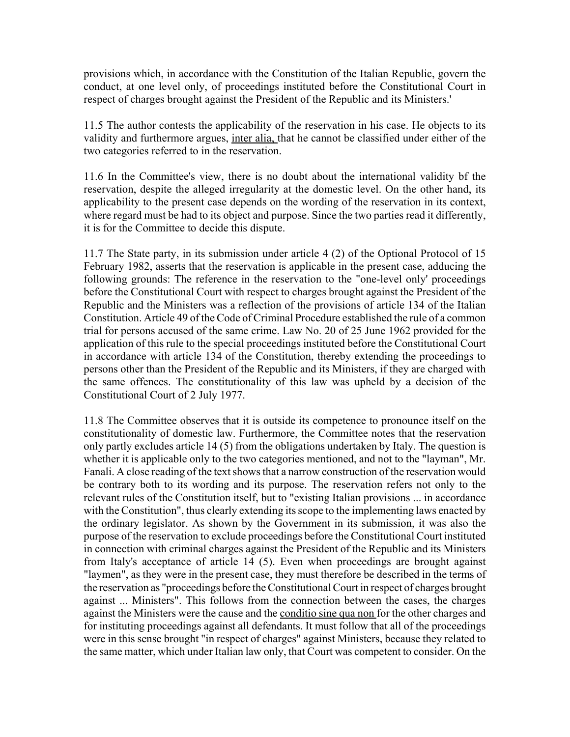provisions which, in accordance with the Constitution of the Italian Republic, govern the conduct, at one level only, of proceedings instituted before the Constitutional Court in respect of charges brought against the President of the Republic and its Ministers.'

11.5 The author contests the applicability of the reservation in his case. He objects to its validity and furthermore argues, inter alia, that he cannot be classified under either of the two categories referred to in the reservation.

11.6 In the Committee's view, there is no doubt about the international validity bf the reservation, despite the alleged irregularity at the domestic level. On the other hand, its applicability to the present case depends on the wording of the reservation in its context, where regard must be had to its object and purpose. Since the two parties read it differently, it is for the Committee to decide this dispute.

11.7 The State party, in its submission under article 4 (2) of the Optional Protocol of 15 February 1982, asserts that the reservation is applicable in the present case, adducing the following grounds: The reference in the reservation to the "one-level only' proceedings before the Constitutional Court with respect to charges brought against the President of the Republic and the Ministers was a reflection of the provisions of article 134 of the Italian Constitution. Article 49 of the Code of Criminal Procedure established the rule of a common trial for persons accused of the same crime. Law No. 20 of 25 June 1962 provided for the application of this rule to the special proceedings instituted before the Constitutional Court in accordance with article 134 of the Constitution, thereby extending the proceedings to persons other than the President of the Republic and its Ministers, if they are charged with the same offences. The constitutionality of this law was upheld by a decision of the Constitutional Court of 2 July 1977.

11.8 The Committee observes that it is outside its competence to pronounce itself on the constitutionality of domestic law. Furthermore, the Committee notes that the reservation only partly excludes article 14 (5) from the obligations undertaken by Italy. The question is whether it is applicable only to the two categories mentioned, and not to the "layman", Mr. Fanali. A close reading of the text shows that a narrow construction of the reservation would be contrary both to its wording and its purpose. The reservation refers not only to the relevant rules of the Constitution itself, but to "existing Italian provisions ... in accordance with the Constitution", thus clearly extending its scope to the implementing laws enacted by the ordinary legislator. As shown by the Government in its submission, it was also the purpose of the reservation to exclude proceedings before the Constitutional Court instituted in connection with criminal charges against the President of the Republic and its Ministers from Italy's acceptance of article 14 (5). Even when proceedings are brought against "laymen", as they were in the present case, they must therefore be described in the terms of the reservation as "proceedings before the Constitutional Court in respect of charges brought against ... Ministers". This follows from the connection between the cases, the charges against the Ministers were the cause and the conditio sine qua non for the other charges and for instituting proceedings against all defendants. It must follow that all of the proceedings were in this sense brought "in respect of charges" against Ministers, because they related to the same matter, which under Italian law only, that Court was competent to consider. On the